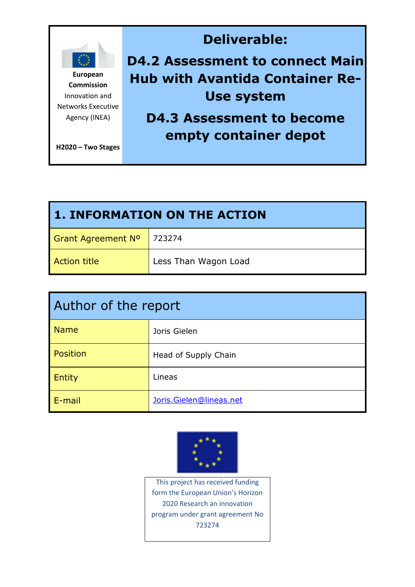

| <b>1. INFORMATION ON THE ACTION</b> |                      |  |
|-------------------------------------|----------------------|--|
| <b>Grant Agreement Nº</b>           | 723274               |  |
| <b>Action title</b>                 | Less Than Wagon Load |  |

| Author of the report |                         |  |
|----------------------|-------------------------|--|
| <b>Name</b>          | Joris Gielen            |  |
| Position             | Head of Supply Chain    |  |
| Entity               | Lineas                  |  |
| E-mail               | Joris.Gielen@lineas.net |  |



This project has received funding form the European Union's Horizon 2020 Research an innovation program under grant agreement No 723274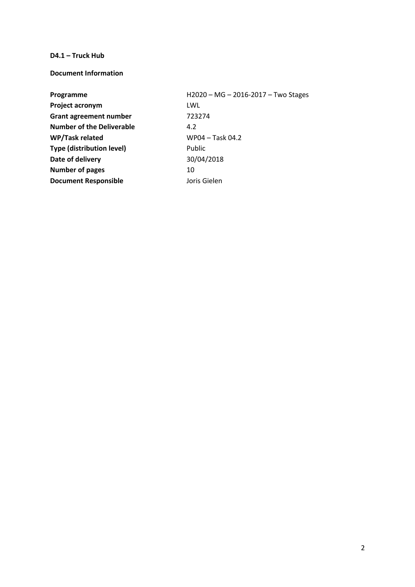#### **D4.1 – Truck Hub**

**Document Information**

| Programme                        | H2020 - MG - 2016-2017 - Two Stages |
|----------------------------------|-------------------------------------|
| Project acronym                  | LWL                                 |
| <b>Grant agreement number</b>    | 723274                              |
| <b>Number of the Deliverable</b> | 4.2                                 |
| WP/Task related                  | WP04 - Task 04.2                    |
| <b>Type (distribution level)</b> | Public                              |
| Date of delivery                 | 30/04/2018                          |
| <b>Number of pages</b>           | 10                                  |
| <b>Document Responsible</b>      | Joris Gielen                        |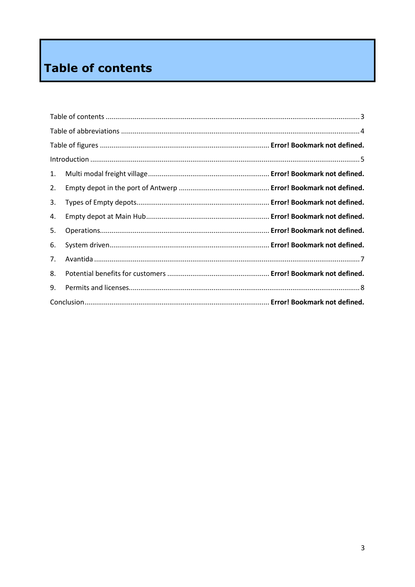# <span id="page-2-0"></span>Table of contents

| 1. |  |
|----|--|
| 2. |  |
| 3. |  |
| 4. |  |
| 5. |  |
| 6. |  |
| 7. |  |
| 8. |  |
| 9. |  |
|    |  |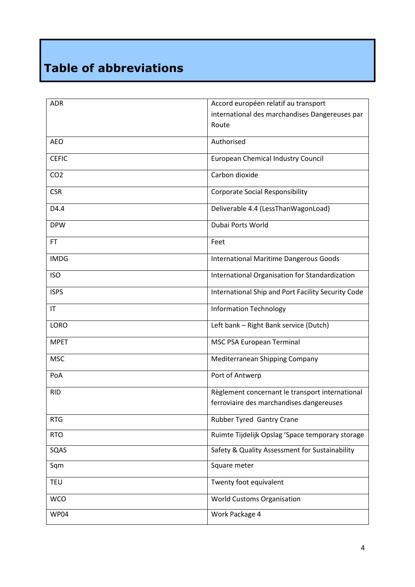# <span id="page-3-0"></span>**Table of abbreviations**

| <b>ADR</b>      | Accord européen relatif au transport               |  |
|-----------------|----------------------------------------------------|--|
|                 | international des marchandises Dangereuses par     |  |
|                 | Route                                              |  |
| <b>AEO</b>      | Authorised                                         |  |
| <b>CEFIC</b>    | European Chemical Industry Council                 |  |
| CO <sub>2</sub> | Carbon dioxide                                     |  |
| <b>CSR</b>      | <b>Corporate Social Responsibility</b>             |  |
| D4.4            | Deliverable 4.4 (LessThanWagonLoad)                |  |
| <b>DPW</b>      | Dubai Ports World                                  |  |
| <b>FT</b>       | Feet                                               |  |
| <b>IMDG</b>     | <b>International Maritime Dangerous Goods</b>      |  |
| <b>ISO</b>      | International Organisation for Standardization     |  |
| <b>ISPS</b>     | International Ship and Port Facility Security Code |  |
| IT              | <b>Information Technology</b>                      |  |
| <b>LORO</b>     | Left bank - Right Bank service (Dutch)             |  |
| <b>MPET</b>     | MSC PSA European Terminal                          |  |
| <b>MSC</b>      | Mediterranean Shipping Company                     |  |
| PoA             | Port of Antwerp                                    |  |
| <b>RID</b>      | Règlement concernant le transport international    |  |
|                 | ferroviaire des marchandises dangereuses           |  |
| <b>RTG</b>      | Rubber Tyred Gantry Crane                          |  |
| <b>RTO</b>      | Ruimte Tijdelijk Opslag 'Space temporary storage   |  |
| SQAS            | Safety & Quality Assessment for Sustainability     |  |
| Sqm             | Square meter                                       |  |
| <b>TEU</b>      | Twenty foot equivalent                             |  |
| <b>WCO</b>      | <b>World Customs Organisation</b>                  |  |
| WP04            | Work Package 4                                     |  |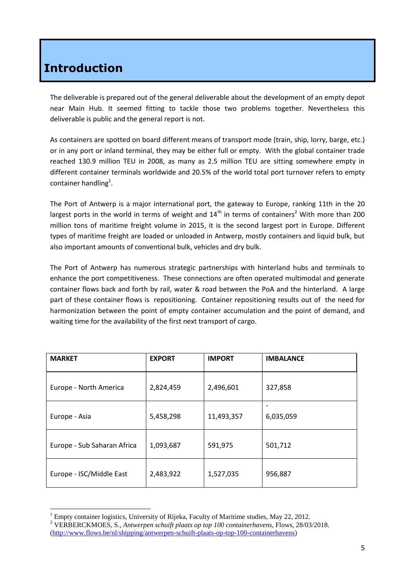## <span id="page-4-0"></span>**Introduction**

The deliverable is prepared out of the general deliverable about the development of an empty depot near Main Hub. It seemed fitting to tackle those two problems together. Nevertheless this deliverable is public and the general report is not.

As containers are spotted on board different means of transport mode (train, ship, lorry, barge, etc.) or in any port or inland terminal, they may be either full or empty. With the global container trade reached 130.9 million TEU in 2008, as many as 2.5 million TEU are sitting somewhere empty in different container terminals worldwide and 20.5% of the world total port turnover refers to empty container handling<sup>1</sup>.

The Port of Antwerp is a major international port, the gateway to Europe, ranking 11th in the 20 largest ports in the world in terms of weight and  $14<sup>th</sup>$  in terms of containers<sup>2</sup> With more than 200 million tons of maritime freight volume in 2015, it is the second largest port in Europe. Different types of maritime freight are loaded or unloaded in Antwerp, mostly containers and liquid bulk, but also important amounts of conventional bulk, vehicles and dry bulk.

The Port of Antwerp has numerous strategic partnerships with hinterland hubs and terminals to enhance the port competitiveness. These connections are often operated multimodal and generate container flows back and forth by rail, water & road between the PoA and the hinterland. A large part of these container flows is repositioning. Container repositioning results out of the need for harmonization between the point of empty container accumulation and the point of demand, and waiting time for the availability of the first next transport of cargo.

| <b>MARKET</b>               | <b>EXPORT</b> | <b>IMPORT</b> | <b>IMBALANCE</b> |
|-----------------------------|---------------|---------------|------------------|
| Europe - North America      | 2,824,459     | 2,496,601     | 327,858          |
| Europe - Asia               | 5,458,298     | 11,493,357    | 6,035,059        |
| Europe - Sub Saharan Africa | 1,093,687     | 591,975       | 501,712          |
| Europe - ISC/Middle East    | 2,483,922     | 1,527,035     | 956,887          |

 $\overline{a}$  $1$  Empty container logistics, University of Rijeka, Faculty of Maritime studies, May 22, 2012.

<sup>2</sup> VERBERCKMOES, S., *Antwerpen schuift plaats op top 100 containerhavens*, Flows, 28/03/2018. [\(http://www.flows.be/nl/shipping/antwerpen-schuift-plaats-op-top-100-containerhavens\)](http://www.flows.be/nl/shipping/antwerpen-schuift-plaats-op-top-100-containerhavens)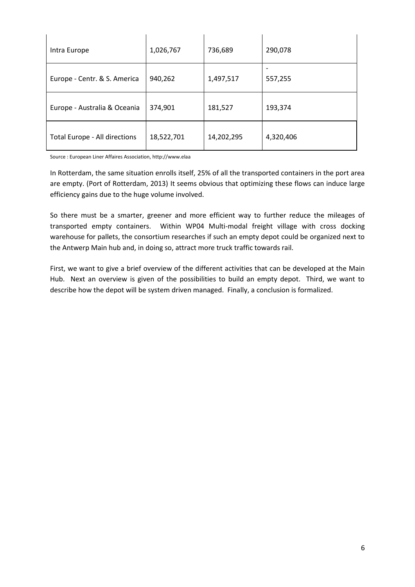| Intra Europe                  | 1,026,767  | 736,689    | 290,078   |
|-------------------------------|------------|------------|-----------|
| Europe - Centr. & S. America  | 940,262    | 1,497,517  | 557,255   |
| Europe - Australia & Oceania  | 374,901    | 181,527    | 193,374   |
| Total Europe - All directions | 18,522,701 | 14,202,295 | 4,320,406 |

Source : European Liner Affaires Association, http://www.elaa

In Rotterdam, the same situation enrolls itself, 25% of all the transported containers in the port area are empty. (Port of Rotterdam, 2013) It seems obvious that optimizing these flows can induce large efficiency gains due to the huge volume involved.

So there must be a smarter, greener and more efficient way to further reduce the mileages of transported empty containers. Within WP04 Multi-modal freight village with cross docking warehouse for pallets, the consortium researches if such an empty depot could be organized next to the Antwerp Main hub and, in doing so, attract more truck traffic towards rail.

First, we want to give a brief overview of the different activities that can be developed at the Main Hub. Next an overview is given of the possibilities to build an empty depot. Third, we want to describe how the depot will be system driven managed. Finally, a conclusion is formalized.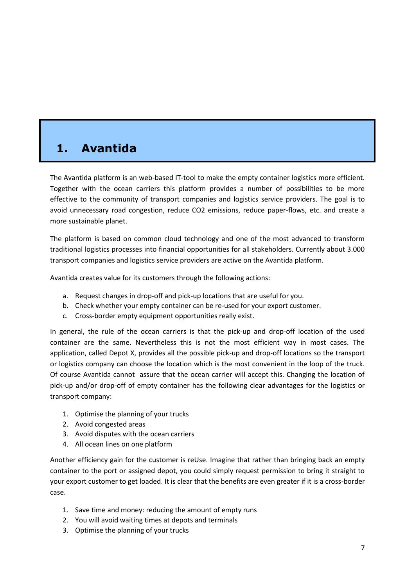# <span id="page-6-0"></span>**1. Avantida**

The Avantida platform is an web-based IT-tool to make the empty container logistics more efficient. Together with the ocean carriers this platform provides a number of possibilities to be more effective to the community of transport companies and logistics service providers. The goal is to avoid unnecessary road congestion, reduce CO2 emissions, reduce paper-flows, etc. and create a more sustainable planet.

The platform is based on common cloud technology and one of the most advanced to transform traditional logistics processes into financial opportunities for all stakeholders. Currently about 3.000 transport companies and logistics service providers are active on the Avantida platform.

Avantida creates value for its customers through the following actions:

- a. Request changes in drop-off and pick-up locations that are useful for you.
- b. Check whether your empty container can be re-used for your export customer.
- c. Cross-border empty equipment opportunities really exist.

In general, the rule of the ocean carriers is that the pick-up and drop-off location of the used container are the same. Nevertheless this is not the most efficient way in most cases. The application, called Depot X, provides all the possible pick-up and drop-off locations so the transport or logistics company can choose the location which is the most convenient in the loop of the truck. Of course Avantida cannot assure that the ocean carrier will accept this. Changing the location of pick-up and/or drop-off of empty container has the following clear advantages for the logistics or transport company:

- 1. Optimise the planning of your trucks
- 2. Avoid congested areas
- 3. Avoid disputes with the ocean carriers
- 4. All ocean lines on one platform

Another efficiency gain for the customer is reUse. Imagine that rather than bringing back an empty container to the port or assigned depot, you could simply request permission to bring it straight to your export customer to get loaded. It is clear that the benefits are even greater if it is a cross-border case.

- 1. Save time and money: reducing the amount of empty runs
- 2. You will avoid waiting times at depots and terminals
- 3. Optimise the planning of your trucks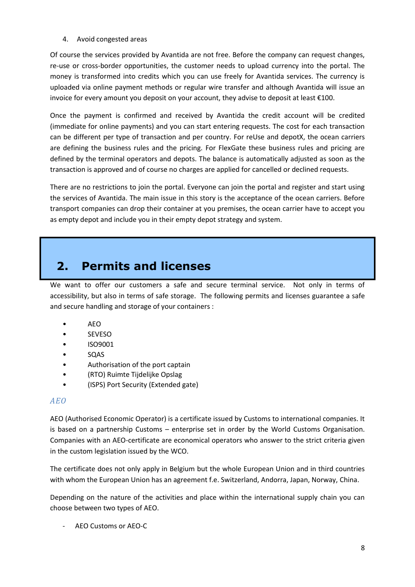4. Avoid congested areas

Of course the services provided by Avantida are not free. Before the company can request changes, re-use or cross-border opportunities, the customer needs to upload currency into the portal. The money is transformed into credits which you can use freely for Avantida services. The currency is uploaded via online payment methods or regular wire transfer and although Avantida will issue an invoice for every amount you deposit on your account, they advise to deposit at least €100.

Once the payment is confirmed and received by Avantida the credit account will be credited (immediate for online payments) and you can start entering requests. The cost for each transaction can be different per type of transaction and per country. For reUse and depotX, the ocean carriers are defining the business rules and the pricing. For FlexGate these business rules and pricing are defined by the terminal operators and depots. The balance is automatically adjusted as soon as the transaction is approved and of course no charges are applied for cancelled or declined requests.

There are no restrictions to join the portal. Everyone can join the portal and register and start using the services of Avantida. The main issue in this story is the acceptance of the ocean carriers. Before transport companies can drop their container at you premises, the ocean carrier have to accept you as empty depot and include you in their empty depot strategy and system.

## <span id="page-7-0"></span>**2. Permits and licenses**

We want to offer our customers a safe and secure terminal service. Not only in terms of accessibility, but also in terms of safe storage. The following permits and licenses guarantee a safe and secure handling and storage of your containers :

- AEO
- SEVESO
- ISO9001
- SQAS
- Authorisation of the port captain
- (RTO) Ruimte Tijdelijke Opslag
- (ISPS) Port Security (Extended gate)

### *AEO*

AEO (Authorised Economic Operator) is a certificate issued by Customs to international companies. It is based on a partnership Customs – enterprise set in order by the World Customs Organisation. Companies with an AEO-certificate are economical operators who answer to the strict criteria given in the custom legislation issued by the WCO.

The certificate does not only apply in Belgium but the whole European Union and in third countries with whom the European Union has an agreement f.e. Switzerland, Andorra, Japan, Norway, China.

Depending on the nature of the activities and place within the international supply chain you can choose between two types of AEO.

- AEO Customs or AEO-C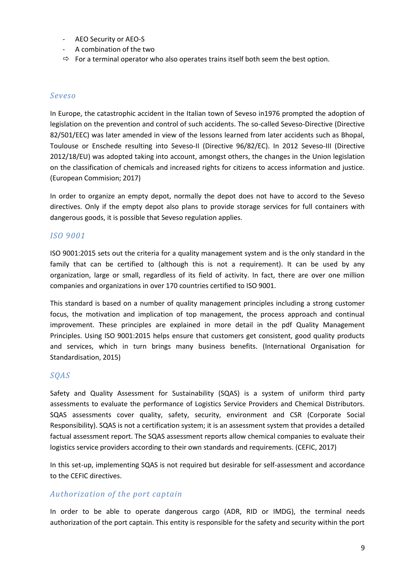- AEO Security or AEO-S
- A combination of the two
- $\Rightarrow$  For a terminal operator who also operates trains itself both seem the best option.

#### *Seveso*

In Europe, the catastrophic accident in the Italian town of Seveso in1976 prompted the adoption of legislation on the prevention and control of such accidents. The so-called Seveso-Directive (Directive 82/501/EEC) was later amended in view of the lessons learned from later accidents such as Bhopal, Toulouse or Enschede resulting into Seveso-II (Directive 96/82/EC). In 2012 Seveso-III (Directive 2012/18/EU) was adopted taking into account, amongst others, the changes in the Union legislation on the classification of chemicals and increased rights for citizens to access information and justice. (European Commision; 2017)

In order to organize an empty depot, normally the depot does not have to accord to the Seveso directives. Only if the empty depot also plans to provide storage services for full containers with dangerous goods, it is possible that Seveso regulation applies.

#### *ISO 9001*

ISO 9001:2015 sets out the criteria for a quality management system and is the only standard in the family that can be certified to (although this is not a requirement). It can be used by any organization, large or small, regardless of its field of activity. In fact, there are over one million companies and organizations in over 170 countries certified to ISO 9001.

This standard is based on a number of quality management principles including a strong customer focus, the motivation and implication of top management, the process approach and continual improvement. These principles are explained in more detail in the pdf Quality Management Principles. Using ISO 9001:2015 helps ensure that customers get consistent, good quality products and services, which in turn brings many business benefits. (International Organisation for Standardisation, 2015)

#### *SQAS*

Safety and Quality Assessment for Sustainability (SQAS) is a system of uniform third party assessments to evaluate the performance of Logistics Service Providers and Chemical Distributors. SQAS assessments cover quality, safety, security, environment and CSR (Corporate Social Responsibility). SQAS is not a certification system; it is an assessment system that provides a detailed factual assessment report. The SQAS assessment reports allow chemical companies to evaluate their logistics service providers according to their own standards and requirements. (CEFIC, 2017)

In this set-up, implementing SQAS is not required but desirable for self-assessment and accordance to the CEFIC directives.

#### *Authorization of the port captain*

In order to be able to operate dangerous cargo (ADR, RID or IMDG), the terminal needs authorization of the port captain. This entity is responsible for the safety and security within the port